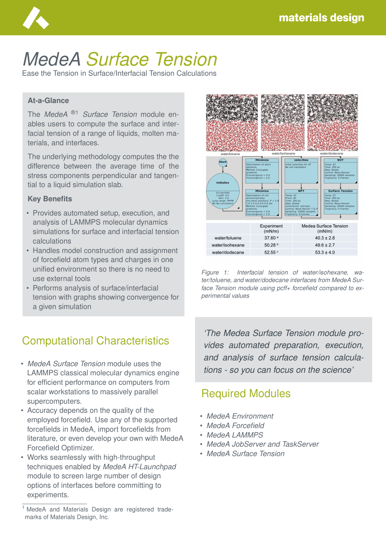

# *MedeA Surface Tension*

Ease the Tension in Surface/Interfacial Tension Calculations

#### **At-a-Glance**

The *MedeA* ®1 *Surface Tension* module enables users to compute the surface and interfacial tension of a range of liquids, molten materials, and interfaces.

The underlying methodology computes the the difference between the average time of the stress components perpendicular and tangential to a liquid simulation slab.

#### **Key Benefits**

- Provides automated setup, execution, and analysis of LAMMPS molecular dynamics simulations for surface and interfacial tension calculations
- Handles model construction and assignment of forcefield atom types and charges in one unified environment so there is no need to use external tools
- Performs analysis of surface/interfacial tension with graphs showing convergence for a given simulation

### Computational Characteristics

- *MedeA Surface Tension* module uses the LAMMPS classical molecular dynamics engine for efficient performance on computers from scalar workstations to massively parallel supercomputers.
- Accuracy depends on the quality of the employed forcefield. Use any of the supported forcefields in MedeA, import forcefields from literature, or even develop your own with MedeA Forcefield Optimizer.
- Works seamlessly with high-throughput techniques enabled by *MedeA HT-Launchpad* module to screen large number of design options of interfaces before committing to experiments.



*Figure 1: Interfacial tension of water/isohexane, water/toluene, and water/dodecane interfaces from MedeA Surface Tension module using pcff+ forcefield compared to experimental values*

*'The Medea Surface Tension module provides automated preparation, execution, and analysis of surface tension calculations - so you can focus on the science'*

#### Required Modules

- *MedeA Environment*
- *MedeA Forcefield*
- *MedeA LAMMPS*
- *MedeA JobServer and TaskServer*
- *MedeA Surface Tension*

MedeA and Materials Design are registered trademarks of Materials Design, Inc.